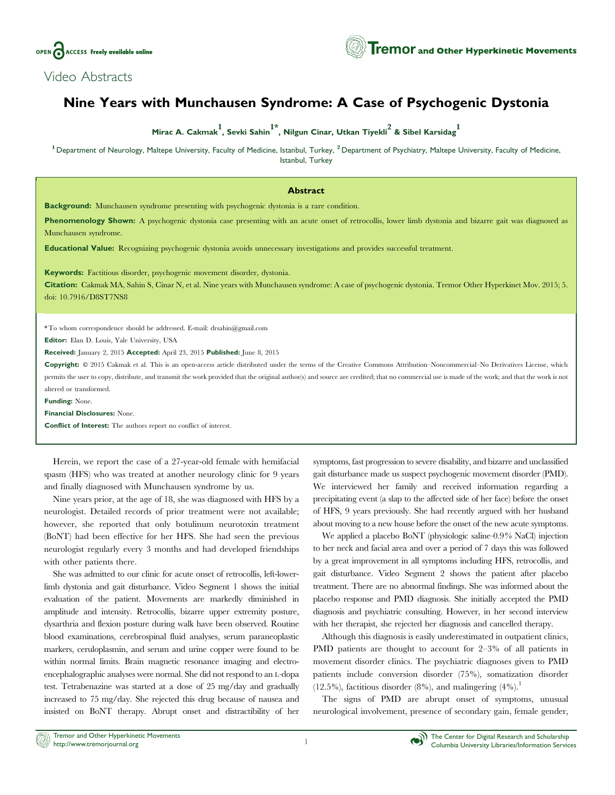

## Video Abstracts

## Nine Years with Munchausen Syndrome: A Case of Psychogenic Dystonia

Mirac A. Cakmak $^{1}$ , Sevki Sahin $^{1^\star}$ , Nilgun Cinar, Utkan Tiyekli $^{2}$  & Sibel Karsidag $^{1 \over 2}$ 

<sup>1</sup> Department of Neurology, Maltepe University, Faculty of Medicine, Istanbul, Turkey, <sup>2</sup> Department of Psychiatry, Maltepe University, Faculty of Medicine, Istanbul, Turkey

## Abstract

Background: Munchausen syndrome presenting with psychogenic dystonia is a rare condition.

Phenomenology Shown: A psychogenic dystonia case presenting with an acute onset of retrocollis, lower limb dystonia and bizarre gait was diagnosed as Munchausen syndrome.

Educational Value: Recognizing psychogenic dystonia avoids unnecessary investigations and provides successful treatment.

Keywords: Factitious disorder, psychogenic movement disorder, dystonia.

Citation: Cakmak MA, Sahin S, Cinar N, et al. Nine years with Munchausen syndrome: A case of psychogenic dystonia. Tremor Other Hyperkinet Mov. 2015; 5. doi: 10.7916/D8ST7NS8

\* To whom correspondence should be addressed. E-mail: drsahin@gmail.com

Editor: Elan D. Louis, Yale University, USA

Received: January 2, 2015 Accepted: April 23, 2015 Published: June 8, 2015

Copyright:  $@ 2015$  Cakmak et al. This is an open-access article distributed under the terms of the [Creative Commons Attribution–Noncommercial–No Derivatives License](http://creativecommons.org/licenses/bycd/4.0/), which permits the user to copy, distribute, and transmit the work provided that the original author(s) and source are credited; that no commercial use is made of the work; and that the work is not altered or transformed.

Funding: None.

Financial Disclosures: None.

Conflict of Interest: The authors report no conflict of interest.

Herein, we report the case of a 27-year-old female with hemifacial spasm (HFS) who was treated at another neurology clinic for 9 years and finally diagnosed with Munchausen syndrome by us.

Nine years prior, at the age of 18, she was diagnosed with HFS by a neurologist. Detailed records of prior treatment were not available; however, she reported that only botulinum neurotoxin treatment (BoNT) had been effective for her HFS. She had seen the previous neurologist regularly every 3 months and had developed friendships with other patients there.

She was admitted to our clinic for acute onset of retrocollis, left-lowerlimb dystonia and gait disturbance. Video Segment 1 shows the initial evaluation of the patient. Movements are markedly diminished in amplitude and intensity. Retrocollis, bizarre upper extremity posture, dysarthria and flexion posture during walk have been observed. Routine blood examinations, cerebrospinal fluid analyses, serum paraneoplastic markers, ceruloplasmin, and serum and urine copper were found to be within normal limits. Brain magnetic resonance imaging and electroencephalographic analyses were normal. She did not respond to an L-dopa test. Tetrabenazine was started at a dose of 25 mg/day and gradually increased to 75 mg/day. She rejected this drug because of nausea and insisted on BoNT therapy. Abrupt onset and distractibility of her

symptoms, fast progression to severe disability, and bizarre and unclassified gait disturbance made us suspect psychogenic movement disorder (PMD). We interviewed her family and received information regarding a precipitating event (a slap to the affected side of her face) before the onset of HFS, 9 years previously. She had recently argued with her husband about moving to a new house before the onset of the new acute symptoms.

We applied a placebo BoNT (physiologic saline-0.9% NaCl) injection to her neck and facial area and over a period of 7 days this was followed by a great improvement in all symptoms including HFS, retrocollis, and gait disturbance. Video Segment 2 shows the patient after placebo treatment. There are no abnormal findings. She was informed about the placebo response and PMD diagnosis. She initially accepted the PMD diagnosis and psychiatric consulting. However, in her second interview with her therapist, she rejected her diagnosis and cancelled therapy.

Although this diagnosis is easily underestimated in outpatient clinics, PMD patients are thought to account for 2–3% of all patients in movement disorder clinics. The psychiatric diagnoses given to PMD patients include conversion disorder (75%), somatization disorder  $(12.5\%)$ , factitious disorder  $(8\%)$ , and malingering  $(4\%)$ <sup>1</sup>

The signs of PMD are abrupt onset of symptoms, unusual neurological involvement, presence of secondary gain, female gender,